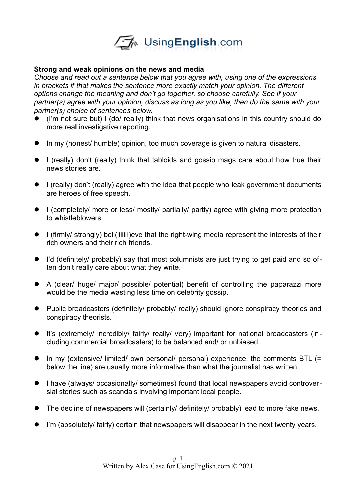

#### **Strong and weak opinions on the news and media**

*Choose and read out a sentence below that you agree with, using one of the expressions in brackets if that makes the sentence more exactly match your opinion. The different options change the meaning and don't go together, so choose carefully. See if your partner(s) agree with your opinion, discuss as long as you like, then do the same with your partner(s) choice of sentences below.* 

- (I'm not sure but) I (do/ really) think that news organisations in this country should do more real investigative reporting.
- In my (honest/ humble) opinion, too much coverage is given to natural disasters.
- I (really) don't (really) think that tabloids and gossip mags care about how true their news stories are.
- I (really) don't (really) agree with the idea that people who leak government documents are heroes of free speech.
- I (completely/ more or less/ mostly/ partially/ partly) agree with giving more protection to whistleblowers.
- I (firmly/ strongly) beli(iiiiiii)eve that the right-wing media represent the interests of their rich owners and their rich friends.
- I'd (definitely/ probably) say that most columnists are just trying to get paid and so often don't really care about what they write.
- A (clear/ huge/ major/ possible/ potential) benefit of controlling the paparazzi more would be the media wasting less time on celebrity gossip.
- Public broadcasters (definitely/ probably/ really) should ignore conspiracy theories and conspiracy theorists.
- It's (extremely/ incredibly/ fairly/ really/ very) important for national broadcasters (including commercial broadcasters) to be balanced and/ or unbiased.
- In my (extensive/ limited/ own personal/ personal) experience, the comments BTL (= below the line) are usually more informative than what the journalist has written.
- I have (always/ occasionally/ sometimes) found that local newspapers avoid controversial stories such as scandals involving important local people.
- The decline of newspapers will (certainly/ definitely/ probably) lead to more fake news.
- I'm (absolutely/ fairly) certain that newspapers will disappear in the next twenty years.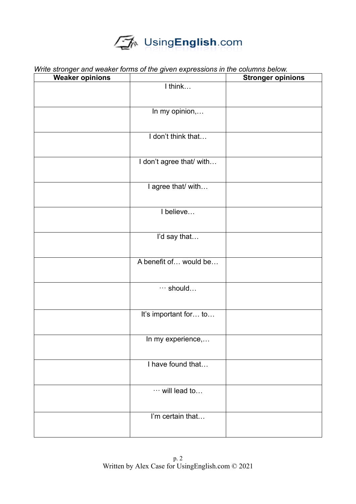## UsingEnglish.com

| <b>Weaker opinions</b> | . <del>.</del>           | <b>Stronger opinions</b> |
|------------------------|--------------------------|--------------------------|
|                        | I think                  |                          |
|                        |                          |                          |
|                        | In my opinion,           |                          |
|                        |                          |                          |
|                        | I don't think that       |                          |
|                        |                          |                          |
|                        |                          |                          |
|                        | I don't agree that/ with |                          |
|                        |                          |                          |
|                        | I agree that/ with       |                          |
|                        |                          |                          |
|                        | I believe                |                          |
|                        |                          |                          |
|                        |                          |                          |
|                        | I'd say that             |                          |
|                        |                          |                          |
|                        | A benefit of would be    |                          |
|                        |                          |                          |
|                        | $\cdots$ should          |                          |
|                        |                          |                          |
|                        |                          |                          |
|                        | It's important for to    |                          |
|                        |                          |                          |
|                        | In my experience,        |                          |
|                        |                          |                          |
|                        | I have found that        |                          |
|                        |                          |                          |
|                        |                          |                          |
|                        | $\cdots$ will lead to    |                          |
|                        |                          |                          |
|                        | I'm certain that         |                          |
|                        |                          |                          |
|                        |                          |                          |

*Write stronger and weaker forms of the given expressions in the columns below.*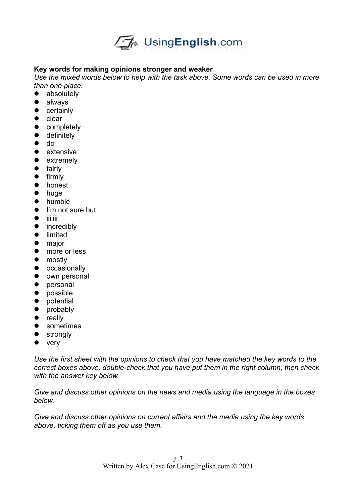

### **Key words for making opinions stronger and weaker**

*Use the mixed words below to help with the task above. Some words can be used in more than one place.*

- absolutely
- always
- certainly
- $\bullet$  clear
- completely
- **•** definitely
- do
- extensive
- extremely
- **•** fairly
- $\bullet$  firmly
- honest
- huge
- **•** humble
- I'm not sure but
- $\bullet$  iiiiiiii
- incredibly
- **•** limited
- major
- more or less
- mostly
- occasionally
- own personal
- personal
- possible
- potential
- probably
- really
- **•** sometimes
- strongly
- very

*Use the first sheet with the opinions to check that you have matched the key words to the correct boxes above, double-check that you have put them in the right column, then check with the answer key below.* 

*Give and discuss other opinions on the news and media using the language in the boxes below.* 

*Give and discuss other opinions on current affairs and the media using the key words above, ticking them off as you use them.*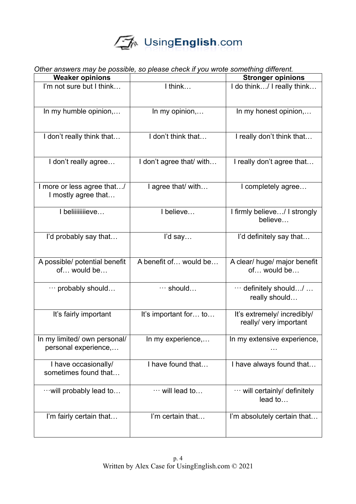# UsingEnglish.com

| Other answers may be possible, so please check if you wrote something different. |                          |                                                       |
|----------------------------------------------------------------------------------|--------------------------|-------------------------------------------------------|
| <b>Weaker opinions</b>                                                           |                          | <b>Stronger opinions</b>                              |
| I'm not sure but I think                                                         | I think                  | I do think/ I really think                            |
| In my humble opinion,                                                            | In my opinion,           | In my honest opinion,                                 |
| I don't really think that                                                        | I don't think that       | I really don't think that                             |
| I don't really agree                                                             | I don't agree that/ with | I really don't agree that                             |
| I more or less agree that/<br>I mostly agree that                                | I agree that/ with       | I completely agree                                    |
| I beliiiiiiiieve                                                                 | I believe                | I firmly believe/ I strongly<br>believe               |
| I'd probably say that                                                            | I'd say                  | I'd definitely say that                               |
| A possible/ potential benefit<br>of would be                                     | A benefit of would be    | A clear/ huge/ major benefit<br>of would be           |
| $\cdots$ probably should                                                         | $\cdots$ should          | $\cdots$ definitely should/<br>really should          |
| It's fairly important                                                            | It's important for to    | It's extremely/ incredibly/<br>really/ very important |
| In my limited/ own personal/<br>personal experience,                             | In my experience,        | In my extensive experience,                           |
| I have occasionally/<br>sometimes found that                                     | I have found that        | I have always found that                              |
| $\cdots$ will probably lead to                                                   | $\cdots$ will lead to    | $\cdots$ will certainly/ definitely<br>lead to        |
| I'm fairly certain that                                                          | I'm certain that         | I'm absolutely certain that                           |

### *Other answers may be possible, so please check if you wrote something different.*